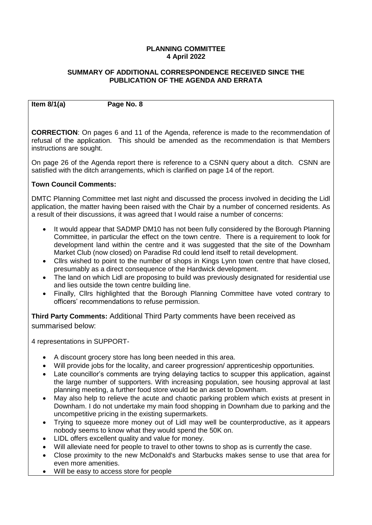## **PLANNING COMMITTEE 4 April 2022**

## **SUMMARY OF ADDITIONAL CORRESPONDENCE RECEIVED SINCE THE PUBLICATION OF THE AGENDA AND ERRATA**

**Item 8/1(a) Page No. 8**

**CORRECTION**: On pages 6 and 11 of the Agenda, reference is made to the recommendation of refusal of the application. This should be amended as the recommendation is that Members instructions are sought.

On page 26 of the Agenda report there is reference to a CSNN query about a ditch. CSNN are satisfied with the ditch arrangements, which is clarified on page 14 of the report.

# **Town Council Comments:**

DMTC Planning Committee met last night and discussed the process involved in deciding the Lidl application, the matter having been raised with the Chair by a number of concerned residents. As a result of their discussions, it was agreed that I would raise a number of concerns:

- It would appear that SADMP DM10 has not been fully considered by the Borough Planning Committee, in particular the effect on the town centre. There is a requirement to look for development land within the centre and it was suggested that the site of the Downham Market Club (now closed) on Paradise Rd could lend itself to retail development.
- Cllrs wished to point to the number of shops in Kings Lynn town centre that have closed, presumably as a direct consequence of the Hardwick development.
- The land on which Lidl are proposing to build was previously designated for residential use and lies outside the town centre building line.
- Finally, Cllrs highlighted that the Borough Planning Committee have voted contrary to officers' recommendations to refuse permission.

**Third Party Comments:** Additional Third Party comments have been received as summarised below:

4 representations in SUPPORT-

- A discount grocery store has long been needed in this area.
- Will provide jobs for the locality, and career progression/ apprenticeship opportunities.
- Late councillor's comments are trying delaying tactics to scupper this application, against the large number of supporters. With increasing population, see housing approval at last planning meeting, a further food store would be an asset to Downham.
- May also help to relieve the acute and chaotic parking problem which exists at present in Downham. I do not undertake my main food shopping in Downham due to parking and the uncompetitive pricing in the existing supermarkets.
- Trying to squeeze more money out of Lidl may well be counterproductive, as it appears nobody seems to know what they would spend the 50K on.
- LIDL offers excellent quality and value for money.
- Will alleviate need for people to travel to other towns to shop as is currently the case.
- Close proximity to the new McDonald's and Starbucks makes sense to use that area for even more amenities.
- Will be easy to access store for people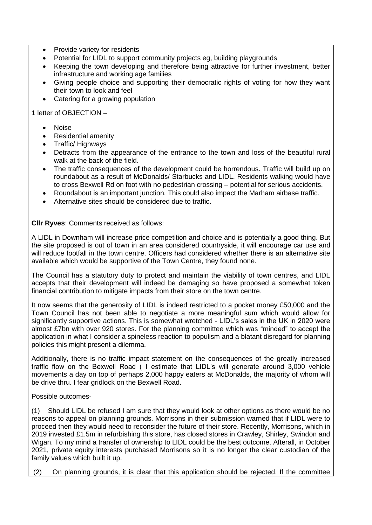- Provide variety for residents
- Potential for LIDL to support community projects eg, building playgrounds
- Keeping the town developing and therefore being attractive for further investment, better infrastructure and working age families
- Giving people choice and supporting their democratic rights of voting for how they want their town to look and feel
- Catering for a growing population

1 letter of OBJECTION –

- Noise
- Residential amenity
- Traffic/ Highways
- Detracts from the appearance of the entrance to the town and loss of the beautiful rural walk at the back of the field.
- The traffic consequences of the development could be horrendous. Traffic will build up on roundabout as a result of McDonalds/ Starbucks and LIDL. Residents walking would have to cross Bexwell Rd on foot with no pedestrian crossing – potential for serious accidents.
- Roundabout is an important junction. This could also impact the Marham airbase traffic.
- Alternative sites should be considered due to traffic.

**Cllr Ryves**: Comments received as follows:

A LIDL in Downham will increase price competition and choice and is potentially a good thing. But the site proposed is out of town in an area considered countryside, it will encourage car use and will reduce footfall in the town centre. Officers had considered whether there is an alternative site available which would be supportive of the Town Centre, they found none.

The Council has a statutory duty to protect and maintain the viability of town centres, and LIDL accepts that their development will indeed be damaging so have proposed a somewhat token financial contribution to mitigate impacts from their store on the town centre.

It now seems that the generosity of LIDL is indeed restricted to a pocket money £50,000 and the Town Council has not been able to negotiate a more meaningful sum which would allow for significantly supportive actions. This is somewhat wretched - LIDL's sales in the UK in 2020 were almost £7bn with over 920 stores. For the planning committee which was "minded" to accept the application in what I consider a spineless reaction to populism and a blatant disregard for planning policies this might present a dilemma.

Additionally, there is no traffic impact statement on the consequences of the greatly increased traffic flow on the Bexwell Road ( I estimate that LIDL's will generate around 3,000 vehicle movements a day on top of perhaps 2,000 happy eaters at McDonalds, the majority of whom will be drive thru. I fear gridlock on the Bexwell Road.

Possible outcomes-

(1) Should LIDL be refused I am sure that they would look at other options as there would be no reasons to appeal on planning grounds. Morrisons in their submission warned that if LIDL were to proceed then they would need to reconsider the future of their store. Recently, Morrisons, which in 2019 invested £1.5m in refurbishing this store, has closed stores in Crawley, Shirley, Swindon and Wigan. To my mind a transfer of ownership to LIDL could be the best outcome. Afterall, in October 2021, private equity interests purchased Morrisons so it is no longer the clear custodian of the family values which built it up.

(2) On planning grounds, it is clear that this application should be rejected. If the committee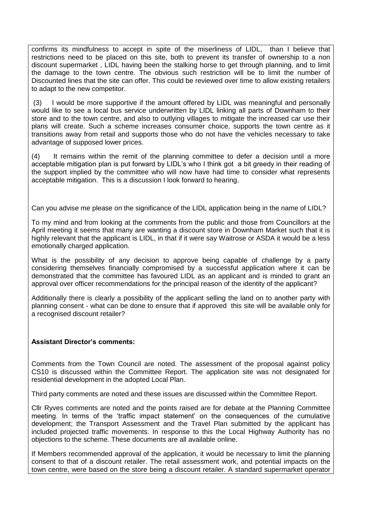confirms its mindfulness to accept in spite of the miserliness of LIDL, than I believe that restrictions need to be placed on this site, both to prevent its transfer of ownership to a non discount supermarket , LIDL having been the stalking horse to get through planning, and to limit the damage to the town centre. The obvious such restriction will be to limit the number of Discounted lines that the site can offer. This could be reviewed over time to allow existing retailers to adapt to the new competitor.

(3) I would be more supportive if the amount offered by LIDL was meaningful and personally would like to see a local bus service underwritten by LIDL linking all parts of Downham to their store and to the town centre, and also to outlying villages to mitigate the increased car use their plans will create. Such a scheme increases consumer choice, supports the town centre as it transitions away from retail and supports those who do not have the vehicles necessary to take advantage of supposed lower prices.

(4) It remains within the remit of the planning committee to defer a decision until a more acceptable mitigation plan is put forward by LIDL's who I think got a bit greedy in their reading of the support implied by the committee who will now have had time to consider what represents acceptable mitigation. This is a discussion I look forward to hearing.

Can you advise me please on the significance of the LIDL application being in the name of LIDL?

To my mind and from looking at the comments from the public and those from Councillors at the April meeting it seems that many are wanting a discount store in Downham Market such that it is highly relevant that the applicant is LIDL, in that if it were say Waitrose or ASDA it would be a less emotionally charged application.

What is the possibility of any decision to approve being capable of challenge by a party considering themselves financially compromised by a successful application where it can be demonstrated that the committee has favoured LIDL as an applicant and is minded to grant an approval over officer recommendations for the principal reason of the identity of the applicant?

Additionally there is clearly a possibility of the applicant selling the land on to another party with planning consent - what can be done to ensure that if approved this site will be available only for a recognised discount retailer?

## **Assistant Director's comments:**

Comments from the Town Council are noted. The assessment of the proposal against policy CS10 is discussed within the Committee Report. The application site was not designated for residential development in the adopted Local Plan.

Third party comments are noted and these issues are discussed within the Committee Report.

Cllr Ryves comments are noted and the points raised are for debate at the Planning Committee meeting. In terms of the 'traffic impact statement' on the consequences of the cumulative development; the Transport Assessment and the Travel Plan submitted by the applicant has included projected traffic movements. In response to this the Local Highway Authority has no objections to the scheme. These documents are all available online.

If Members recommended approval of the application, it would be necessary to limit the planning consent to that of a discount retailer. The retail assessment work, and potential impacts on the town centre, were based on the store being a discount retailer. A standard supermarket operator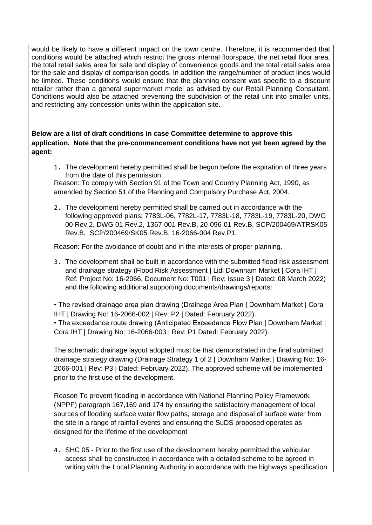would be likely to have a different impact on the town centre. Therefore, it is recommended that conditions would be attached which restrict the gross internal floorspace, the net retail floor area, the total retail sales area for sale and display of convenience goods and the total retail sales area for the sale and display of comparison goods. In addition the range/number of product lines would be limited. These conditions would ensure that the planning consent was specific to a discount retailer rather than a general supermarket model as advised by our Retail Planning Consultant. Conditions would also be attached preventing the subdivision of the retail unit into smaller units, and restricting any concession units within the application site.

**Below are a list of draft conditions in case Committee determine to approve this application. Note that the pre-commencement conditions have not yet been agreed by the agent:** 

1. The development hereby permitted shall be begun before the expiration of three years from the date of this permission.

Reason: To comply with Section 91 of the Town and Country Planning Act, 1990, as amended by Section 51 of the Planning and Compulsory Purchase Act, 2004.

2. The development hereby permitted shall be carried out in accordance with the following approved plans: 7783L-06, 7782L-17, 7783L-18, 7783L-19, 7783L-20, DWG 00 Rev.2, DWG 01 Rev.2, 1367-001 Rev.B, 20-096-01 Rev.B, SCP/200469/ATRSK05 Rev.B, SCP/200469/SK05 Rev.B, 16-2066-004 Rev.P1.

Reason: For the avoidance of doubt and in the interests of proper planning.

3. The development shall be built in accordance with the submitted flood risk assessment and drainage strategy (Flood Risk Assessment | Lidl Downham Market | Cora IHT | Ref: Project No: 16-2066, Document No: T001 | Rev: Issue 3 | Dated: 08 March 2022) and the following additional supporting documents/drawings/reports:

• The revised drainage area plan drawing (Drainage Area Plan | Downham Market | Cora IHT | Drawing No: 16-2066-002 | Rev: P2 | Dated: February 2022).

• The exceedance route drawing (Anticipated Exceedance Flow Plan | Downham Market | Cora IHT | Drawing No: 16-2066-003 | Rev: P1 Dated: February 2022).

The schematic drainage layout adopted must be that demonstrated in the final submitted drainage strategy drawing (Drainage Strategy 1 of 2 | Downham Market | Drawing No: 16- 2066-001 | Rev: P3 | Dated: February 2022). The approved scheme will be implemented prior to the first use of the development.

Reason To prevent flooding in accordance with National Planning Policy Framework (NPPF) paragraph 167,169 and 174 by ensuring the satisfactory management of local sources of flooding surface water flow paths, storage and disposal of surface water from the site in a range of rainfall events and ensuring the SuDS proposed operates as designed for the lifetime of the development

4. SHC 05 - Prior to the first use of the development hereby permitted the vehicular access shall be constructed in accordance with a detailed scheme to be agreed in writing with the Local Planning Authority in accordance with the highways specification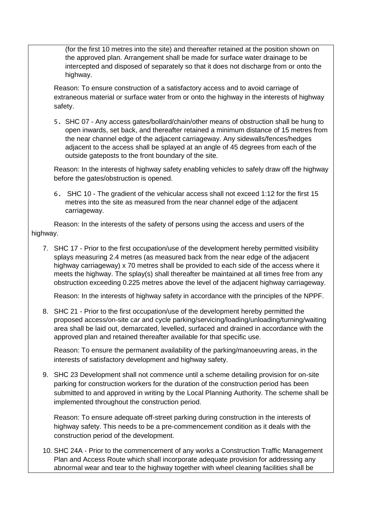(for the first 10 metres into the site) and thereafter retained at the position shown on the approved plan. Arrangement shall be made for surface water drainage to be intercepted and disposed of separately so that it does not discharge from or onto the highway.

Reason: To ensure construction of a satisfactory access and to avoid carriage of extraneous material or surface water from or onto the highway in the interests of highway safety.

5. SHC 07 - Any access gates/bollard/chain/other means of obstruction shall be hung to open inwards, set back, and thereafter retained a minimum distance of 15 metres from the near channel edge of the adjacent carriageway. Any sidewalls/fences/hedges adjacent to the access shall be splayed at an angle of 45 degrees from each of the outside gateposts to the front boundary of the site.

Reason: In the interests of highway safety enabling vehicles to safely draw off the highway before the gates/obstruction is opened.

6. SHC 10 - The gradient of the vehicular access shall not exceed 1:12 for the first 15 metres into the site as measured from the near channel edge of the adjacent carriageway.

Reason: In the interests of the safety of persons using the access and users of the highway.

7. SHC 17 - Prior to the first occupation/use of the development hereby permitted visibility splays measuring 2.4 metres (as measured back from the near edge of the adjacent highway carriageway) x 70 metres shall be provided to each side of the access where it meets the highway. The splay(s) shall thereafter be maintained at all times free from any obstruction exceeding 0.225 metres above the level of the adjacent highway carriageway.

Reason: In the interests of highway safety in accordance with the principles of the NPPF.

8. SHC 21 - Prior to the first occupation/use of the development hereby permitted the proposed access/on-site car and cycle parking/servicing/loading/unloading/turning/waiting area shall be laid out, demarcated, levelled, surfaced and drained in accordance with the approved plan and retained thereafter available for that specific use.

Reason: To ensure the permanent availability of the parking/manoeuvring areas, in the interests of satisfactory development and highway safety.

9. SHC 23 Development shall not commence until a scheme detailing provision for on-site parking for construction workers for the duration of the construction period has been submitted to and approved in writing by the Local Planning Authority. The scheme shall be implemented throughout the construction period.

Reason: To ensure adequate off-street parking during construction in the interests of highway safety. This needs to be a pre-commencement condition as it deals with the construction period of the development.

10. SHC 24A - Prior to the commencement of any works a Construction Traffic Management Plan and Access Route which shall incorporate adequate provision for addressing any abnormal wear and tear to the highway together with wheel cleaning facilities shall be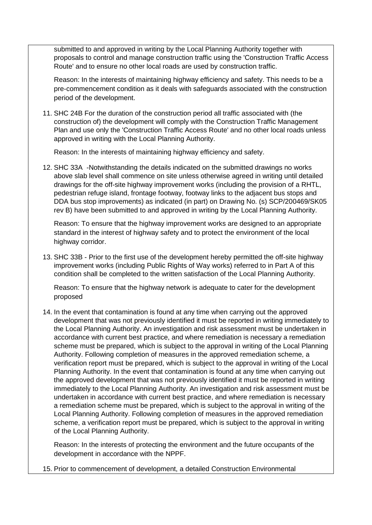submitted to and approved in writing by the Local Planning Authority together with proposals to control and manage construction traffic using the 'Construction Traffic Access Route' and to ensure no other local roads are used by construction traffic.

Reason: In the interests of maintaining highway efficiency and safety. This needs to be a pre-commencement condition as it deals with safeguards associated with the construction period of the development.

11. SHC 24B For the duration of the construction period all traffic associated with (the construction of) the development will comply with the Construction Traffic Management Plan and use only the 'Construction Traffic Access Route' and no other local roads unless approved in writing with the Local Planning Authority.

Reason: In the interests of maintaining highway efficiency and safety.

12. SHC 33A -Notwithstanding the details indicated on the submitted drawings no works above slab level shall commence on site unless otherwise agreed in writing until detailed drawings for the off-site highway improvement works (including the provision of a RHTL, pedestrian refuge island, frontage footway, footway links to the adjacent bus stops and DDA bus stop improvements) as indicated (in part) on Drawing No. (s) SCP/200469/SK05 rev B) have been submitted to and approved in writing by the Local Planning Authority.

Reason: To ensure that the highway improvement works are designed to an appropriate standard in the interest of highway safety and to protect the environment of the local highway corridor.

13. SHC 33B - Prior to the first use of the development hereby permitted the off-site highway improvement works (including Public Rights of Way works) referred to in Part A of this condition shall be completed to the written satisfaction of the Local Planning Authority.

Reason: To ensure that the highway network is adequate to cater for the development proposed

14. In the event that contamination is found at any time when carrying out the approved development that was not previously identified it must be reported in writing immediately to the Local Planning Authority. An investigation and risk assessment must be undertaken in accordance with current best practice, and where remediation is necessary a remediation scheme must be prepared, which is subject to the approval in writing of the Local Planning Authority. Following completion of measures in the approved remediation scheme, a verification report must be prepared, which is subject to the approval in writing of the Local Planning Authority. In the event that contamination is found at any time when carrying out the approved development that was not previously identified it must be reported in writing immediately to the Local Planning Authority. An investigation and risk assessment must be undertaken in accordance with current best practice, and where remediation is necessary a remediation scheme must be prepared, which is subject to the approval in writing of the Local Planning Authority. Following completion of measures in the approved remediation scheme, a verification report must be prepared, which is subject to the approval in writing of the Local Planning Authority.

Reason: In the interests of protecting the environment and the future occupants of the development in accordance with the NPPF.

15. Prior to commencement of development, a detailed Construction Environmental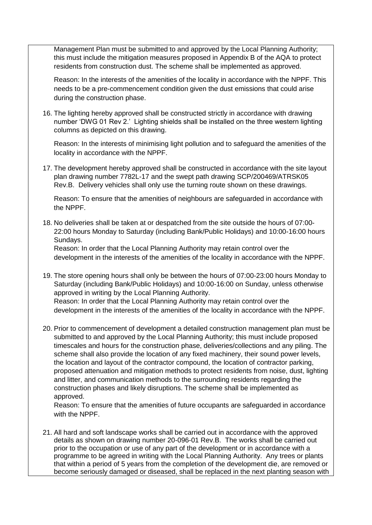Management Plan must be submitted to and approved by the Local Planning Authority; this must include the mitigation measures proposed in Appendix B of the AQA to protect residents from construction dust. The scheme shall be implemented as approved.

Reason: In the interests of the amenities of the locality in accordance with the NPPF. This needs to be a pre-commencement condition given the dust emissions that could arise during the construction phase.

16. The lighting hereby approved shall be constructed strictly in accordance with drawing number 'DWG 01 Rev 2.' Lighting shields shall be installed on the three western lighting columns as depicted on this drawing.

Reason: In the interests of minimising light pollution and to safeguard the amenities of the locality in accordance with the NPPF.

17. The development hereby approved shall be constructed in accordance with the site layout plan drawing number 7782L-17 and the swept path drawing SCP/200469/ATRSK05 Rev.B. Delivery vehicles shall only use the turning route shown on these drawings.

Reason: To ensure that the amenities of neighbours are safeguarded in accordance with the NPPF.

18. No deliveries shall be taken at or despatched from the site outside the hours of 07:00- 22:00 hours Monday to Saturday (including Bank/Public Holidays) and 10:00-16:00 hours Sundays.

Reason: In order that the Local Planning Authority may retain control over the development in the interests of the amenities of the locality in accordance with the NPPF.

- 19. The store opening hours shall only be between the hours of 07:00-23:00 hours Monday to Saturday (including Bank/Public Holidays) and 10:00-16:00 on Sunday, unless otherwise approved in writing by the Local Planning Authority. Reason: In order that the Local Planning Authority may retain control over the development in the interests of the amenities of the locality in accordance with the NPPF.
- 20. Prior to commencement of development a detailed construction management plan must be submitted to and approved by the Local Planning Authority; this must include proposed timescales and hours for the construction phase, deliveries/collections and any piling. The scheme shall also provide the location of any fixed machinery, their sound power levels, the location and layout of the contractor compound, the location of contractor parking, proposed attenuation and mitigation methods to protect residents from noise, dust, lighting and litter, and communication methods to the surrounding residents regarding the construction phases and likely disruptions. The scheme shall be implemented as approved.

Reason: To ensure that the amenities of future occupants are safeguarded in accordance with the NPPF.

21. All hard and soft landscape works shall be carried out in accordance with the approved details as shown on drawing number 20-096-01 Rev.B. The works shall be carried out prior to the occupation or use of any part of the development or in accordance with a programme to be agreed in writing with the Local Planning Authority. Any trees or plants that within a period of 5 years from the completion of the development die, are removed or become seriously damaged or diseased, shall be replaced in the next planting season with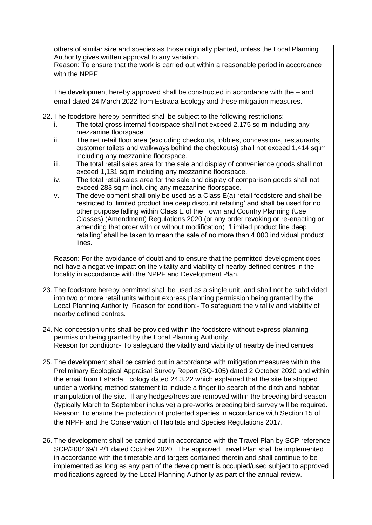others of similar size and species as those originally planted, unless the Local Planning Authority gives written approval to any variation.

Reason: To ensure that the work is carried out within a reasonable period in accordance with the NPPF

The development hereby approved shall be constructed in accordance with the – and email dated 24 March 2022 from Estrada Ecology and these mitigation measures.

- 22. The foodstore hereby permitted shall be subject to the following restrictions:
	- i. The total gross internal floorspace shall not exceed 2,175 sq.m including any mezzanine floorspace.
	- ii. The net retail floor area (excluding checkouts, lobbies, concessions, restaurants, customer toilets and walkways behind the checkouts) shall not exceed 1,414 sq.m including any mezzanine floorspace.
	- iii. The total retail sales area for the sale and display of convenience goods shall not exceed 1,131 sq.m including any mezzanine floorspace.
	- iv. The total retail sales area for the sale and display of comparison goods shall not exceed 283 sq.m including any mezzanine floorspace.
	- v. The development shall only be used as a Class E(a) retail foodstore and shall be restricted to 'limited product line deep discount retailing' and shall be used for no other purpose falling within Class E of the Town and Country Planning (Use Classes) (Amendment) Regulations 2020 (or any order revoking or re-enacting or amending that order with or without modification). 'Limited product line deep retailing' shall be taken to mean the sale of no more than 4,000 individual product lines.

Reason: For the avoidance of doubt and to ensure that the permitted development does not have a negative impact on the vitality and viability of nearby defined centres in the locality in accordance with the NPPF and Development Plan.

- 23. The foodstore hereby permitted shall be used as a single unit, and shall not be subdivided into two or more retail units without express planning permission being granted by the Local Planning Authority. Reason for condition:- To safeguard the vitality and viability of nearby defined centres.
- 24. No concession units shall be provided within the foodstore without express planning permission being granted by the Local Planning Authority. Reason for condition:- To safeguard the vitality and viability of nearby defined centres
- 25. The development shall be carried out in accordance with mitigation measures within the Preliminary Ecological Appraisal Survey Report (SQ-105) dated 2 October 2020 and within the email from Estrada Ecology dated 24.3.22 which explained that the site be stripped under a working method statement to include a finger tip search of the ditch and habitat manipulation of the site. If any hedges/trees are removed within the breeding bird season (typically March to September inclusive) a pre-works breeding bird survey will be required. Reason: To ensure the protection of protected species in accordance with Section 15 of the NPPF and the Conservation of Habitats and Species Regulations 2017.
- 26. The development shall be carried out in accordance with the Travel Plan by SCP reference SCP/200469/TP/1 dated October 2020. The approved Travel Plan shall be implemented in accordance with the timetable and targets contained therein and shall continue to be implemented as long as any part of the development is occupied/used subject to approved modifications agreed by the Local Planning Authority as part of the annual review.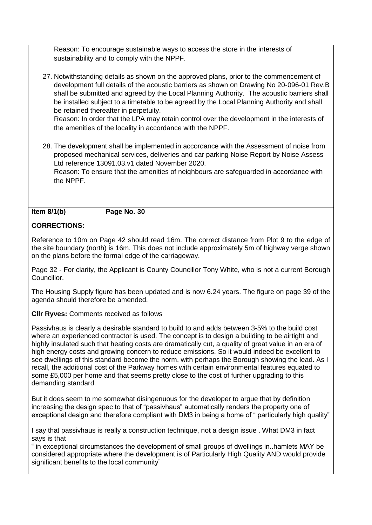Reason: To encourage sustainable ways to access the store in the interests of sustainability and to comply with the NPPF.

27. Notwithstanding details as shown on the approved plans, prior to the commencement of development full details of the acoustic barriers as shown on Drawing No 20-096-01 Rev.B shall be submitted and agreed by the Local Planning Authority. The acoustic barriers shall be installed subject to a timetable to be agreed by the Local Planning Authority and shall be retained thereafter in perpetuity.

Reason: In order that the LPA may retain control over the development in the interests of the amenities of the locality in accordance with the NPPF.

28. The development shall be implemented in accordance with the Assessment of noise from proposed mechanical services, deliveries and car parking Noise Report by Noise Assess Ltd reference 13091.03.v1 dated November 2020.

Reason: To ensure that the amenities of neighbours are safeguarded in accordance with the NPPF.

#### **Item 8/1(b) Page No. 30**

# **CORRECTIONS:**

Reference to 10m on Page 42 should read 16m. The correct distance from Plot 9 to the edge of the site boundary (north) is 16m. This does not include approximately 5m of highway verge shown on the plans before the formal edge of the carriageway.

Page 32 - For clarity, the Applicant is County Councillor Tony White, who is not a current Borough Councillor.

The Housing Supply figure has been updated and is now 6.24 years. The figure on page 39 of the agenda should therefore be amended.

**Cllr Ryves:** Comments received as follows

Passivhaus is clearly a desirable standard to build to and adds between 3-5% to the build cost where an experienced contractor is used. The concept is to design a building to be airtight and highly insulated such that heating costs are dramatically cut, a quality of great value in an era of high energy costs and growing concern to reduce emissions. So it would indeed be excellent to see dwellings of this standard become the norm, with perhaps the Borough showing the lead. As I recall, the additional cost of the Parkway homes with certain environmental features equated to some £5,000 per home and that seems pretty close to the cost of further upgrading to this demanding standard.

But it does seem to me somewhat disingenuous for the developer to argue that by definition increasing the design spec to that of "passivhaus" automatically renders the property one of exceptional design and therefore compliant with DM3 in being a home of " particularly high quality"

I say that passivhaus is really a construction technique, not a design issue . What DM3 in fact says is that

" in exceptional circumstances the development of small groups of dwellings in..hamlets MAY be considered appropriate where the development is of Particularly High Quality AND would provide significant benefits to the local community"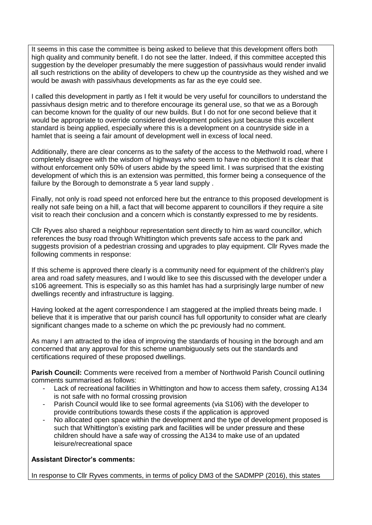It seems in this case the committee is being asked to believe that this development offers both high quality and community benefit. I do not see the latter. Indeed, if this committee accepted this suggestion by the developer presumably the mere suggestion of passivhaus would render invalid all such restrictions on the ability of developers to chew up the countryside as they wished and we would be awash with passivhaus developments as far as the eye could see.

I called this development in partly as I felt it would be very useful for councillors to understand the passivhaus design metric and to therefore encourage its general use, so that we as a Borough can become known for the quality of our new builds. But I do not for one second believe that it would be appropriate to override considered development policies just because this excellent standard is being applied, especially where this is a development on a countryside side in a hamlet that is seeing a fair amount of development well in excess of local need.

Additionally, there are clear concerns as to the safety of the access to the Methwold road, where I completely disagree with the wisdom of highways who seem to have no objection! It is clear that without enforcement only 50% of users abide by the speed limit. I was surprised that the existing development of which this is an extension was permitted, this former being a consequence of the failure by the Borough to demonstrate a 5 year land supply .

Finally, not only is road speed not enforced here but the entrance to this proposed development is really not safe being on a hill, a fact that will become apparent to councillors if they require a site visit to reach their conclusion and a concern which is constantly expressed to me by residents.

Cllr Ryves also shared a neighbour representation sent directly to him as ward councillor, which references the busy road through Whittington which prevents safe access to the park and suggests provision of a pedestrian crossing and upgrades to play equipment. Cllr Ryves made the following comments in response:

If this scheme is approved there clearly is a community need for equipment of the children's play area and road safety measures, and I would like to see this discussed with the developer under a s106 agreement. This is especially so as this hamlet has had a surprisingly large number of new dwellings recently and infrastructure is lagging.

Having looked at the agent correspondence I am staggered at the implied threats being made. I believe that it is imperative that our parish council has full opportunity to consider what are clearly significant changes made to a scheme on which the pc previously had no comment.

As many I am attracted to the idea of improving the standards of housing in the borough and am concerned that any approval for this scheme unambiguously sets out the standards and certifications required of these proposed dwellings.

**Parish Council:** Comments were received from a member of Northwold Parish Council outlining comments summarised as follows:

- Lack of recreational facilities in Whittington and how to access them safety, crossing A134 is not safe with no formal crossing provision
- Parish Council would like to see formal agreements (via S106) with the developer to provide contributions towards these costs if the application is approved
- No allocated open space within the development and the type of development proposed is such that Whittington's existing park and facilities will be under pressure and these children should have a safe way of crossing the A134 to make use of an updated leisure/recreational space

## **Assistant Director's comments:**

In response to Cllr Ryves comments, in terms of policy DM3 of the SADMPP (2016), this states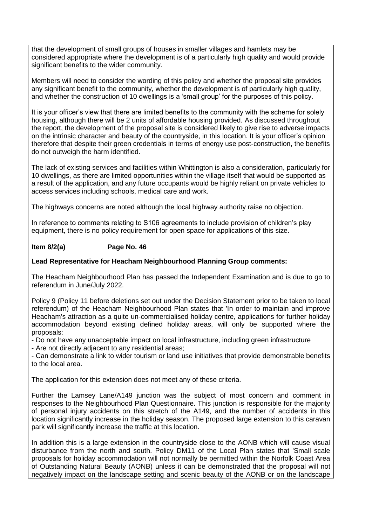that the development of small groups of houses in smaller villages and hamlets may be considered appropriate where the development is of a particularly high quality and would provide significant benefits to the wider community.

Members will need to consider the wording of this policy and whether the proposal site provides any significant benefit to the community, whether the development is of particularly high quality, and whether the construction of 10 dwellings is a 'small group' for the purposes of this policy.

It is your officer's view that there are limited benefits to the community with the scheme for solely housing, although there will be 2 units of affordable housing provided. As discussed throughout the report, the development of the proposal site is considered likely to give rise to adverse impacts on the intrinsic character and beauty of the countryside, in this location. It is your officer's opinion therefore that despite their green credentials in terms of energy use post-construction, the benefits do not outweigh the harm identified.

The lack of existing services and facilities within Whittington is also a consideration, particularly for 10 dwellings, as there are limited opportunities within the village itself that would be supported as a result of the application, and any future occupants would be highly reliant on private vehicles to access services including schools, medical care and work.

The highways concerns are noted although the local highway authority raise no objection.

In reference to comments relating to S106 agreements to include provision of children's play equipment, there is no policy requirement for open space for applications of this size.

#### **Item 8/2(a) Page No. 46**

## **Lead Representative for Heacham Neighbourhood Planning Group comments:**

The Heacham Neighbourhood Plan has passed the Independent Examination and is due to go to referendum in June/July 2022.

Policy 9 (Policy 11 before deletions set out under the Decision Statement prior to be taken to local referendum) of the Heacham Neighbourhood Plan states that 'In order to maintain and improve Heacham's attraction as a quite un-commercialised holiday centre, applications for further holiday accommodation beyond existing defined holiday areas, will only be supported where the proposals:

- Do not have any unacceptable impact on local infrastructure, including green infrastructure

- Are not directly adjacent to any residential areas;

- Can demonstrate a link to wider tourism or land use initiatives that provide demonstrable benefits to the local area.

The application for this extension does not meet any of these criteria.

Further the Lamsey Lane/A149 junction was the subject of most concern and comment in responses to the Neighbourhood Plan Questionnaire. This junction is responsible for the majority of personal injury accidents on this stretch of the A149, and the number of accidents in this location significantly increase in the holiday season. The proposed large extension to this caravan park will significantly increase the traffic at this location.

In addition this is a large extension in the countryside close to the AONB which will cause visual disturbance from the north and south. Policy DM11 of the Local Plan states that 'Small scale proposals for holiday accommodation will not normally be permitted within the Norfolk Coast Area of Outstanding Natural Beauty (AONB) unless it can be demonstrated that the proposal will not negatively impact on the landscape setting and scenic beauty of the AONB or on the landscape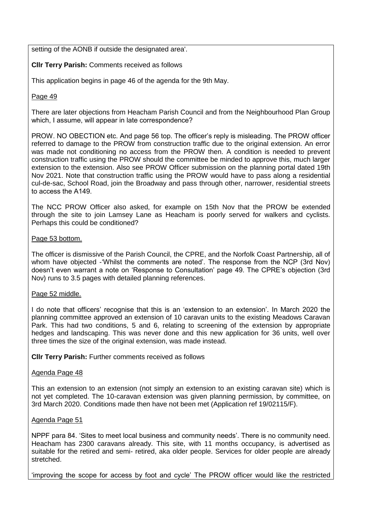setting of the AONB if outside the designated area'.

## **Cllr Terry Parish:** Comments received as follows

This application begins in page 46 of the agenda for the 9th May.

## Page 49

There are later objections from Heacham Parish Council and from the Neighbourhood Plan Group which, I assume, will appear in late correspondence? 

PROW. NO OBECTION etc. And page 56 top. The officer's reply is misleading. The PROW officer referred to damage to the PROW from construction traffic due to the original extension. An error was made not conditioning no access from the PROW then. A condition is needed to prevent construction traffic using the PROW should the committee be minded to approve this, much larger extension to the extension. Also see PROW Officer submission on the planning portal dated 19th Nov 2021. Note that construction traffic using the PROW would have to pass along a residential cul-de-sac, School Road, join the Broadway and pass through other, narrower, residential streets to access the A149.  

The NCC PROW Officer also asked, for example on 15th Nov that the PROW be extended through the site to join Lamsey Lane as Heacham is poorly served for walkers and cyclists. Perhaps this could be conditioned?

## Page 53 bottom.

The officer is dismissive of the Parish Council, the CPRE, and the Norfolk Coast Partnership, all of whom have objected -'Whilst the comments are noted'. The response from the NCP (3rd Nov) doesn't even warrant a note on 'Response to Consultation' page 49. The CPRE's objection (3rd Nov) runs to 3.5 pages with detailed planning references.

## Page 52 middle.

I do note that officers' recognise that this is an 'extension to an extension'. In March 2020 the planning committee approved an extension of 10 caravan units to the existing Meadows Caravan Park. This had two conditions, 5 and 6, relating to screening of the extension by appropriate hedges and landscaping. This was never done and this new application for 36 units, well over three times the size of the original extension, was made instead.

**Cllr Terry Parish:** Further comments received as follows

## Agenda Page 48

This an extension to an extension (not simply an extension to an existing caravan site) which is not yet completed. The 10-caravan extension was given planning permission, by committee, on 3rd March 2020. Conditions made then have not been met (Application ref 19/02115/F).

#### Agenda Page 51

NPPF para 84. 'Sites to meet local business and community needs'. There is no community need. Heacham has 2300 caravans already. This site, with 11 months occupancy, is advertised as suitable for the retired and semi- retired, aka older people. Services for older people are already stretched.

'improving the scope for access by foot and cycle' The PROW officer would like the restricted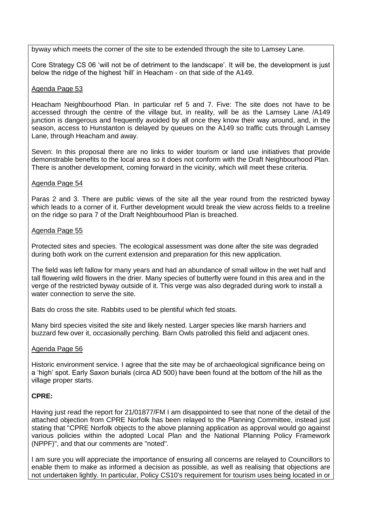byway which meets the corner of the site to be extended through the site to Lamsey Lane.

Core Strategy CS 06 'will not be of detriment to the landscape'. It will be, the development is just below the ridge of the highest 'hill' in Heacham - on that side of the A149.

#### Agenda Page 53

Heacham Neighbourhood Plan. In particular ref 5 and 7. Five: The site does not have to be accessed through the centre of the village but, in reality, will be as the Lamsey Lane /A149 junction is dangerous and frequently avoided by all once they know their way around, and, in the season, access to Hunstanton is delayed by queues on the A149 so traffic cuts through Lamsey Lane, through Heacham and away.

Seven: In this proposal there are no links to wider tourism or land use initiatives that provide demonstrable benefits to the local area so it does not conform with the Draft Neighbourhood Plan. There is another development, coming forward in the vicinity, which will meet these criteria.

#### Agenda Page 54

Paras 2 and 3. There are public views of the site all the year round from the restricted byway which leads to a corner of it. Further development would break the view across fields to a treeline on the ridge so para 7 of the Draft Neighbourhood Plan is breached.

#### Agenda Page 55

Protected sites and species. The ecological assessment was done after the site was degraded during both work on the current extension and preparation for this new application.

The field was left fallow for many years and had an abundance of small willow in the wet half and tall flowering wild flowers in the drier. Many species of butterfly were found in this area and in the verge of the restricted byway outside of it. This verge was also degraded during work to install a water connection to serve the site.

Bats do cross the site. Rabbits used to be plentiful which fed stoats.

Many bird species visited the site and likely nested. Larger species like marsh harriers and buzzard few over it, occasionally perching. Barn Owls patrolled this field and adjacent ones.

#### Agenda Page 56

Historic environment service. I agree that the site may be of archaeological significance being on a 'high' spot. Early Saxon burials (circa AD 500) have been found at the bottom of the hill as the village proper starts.

## **CPRE:**

Having just read the report for 21/01877/FM I am disappointed to see that none of the detail of the attached objection from CPRE Norfolk has been relayed to the Planning Committee, instead just stating that "CPRE Norfolk objects to the above planning application as approval would go against various policies within the adopted Local Plan and the National Planning Policy Framework (NPPF)", and that our comments are "noted".

I am sure you will appreciate the importance of ensuring all concerns are relayed to Councillors to enable them to make as informed a decision as possible, as well as realising that objections are not undertaken lightly. In particular, Policy CS10's requirement for tourism uses being located in or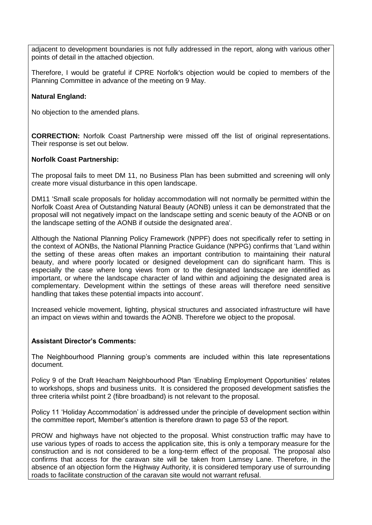adjacent to development boundaries is not fully addressed in the report, along with various other points of detail in the attached objection.

Therefore, I would be grateful if CPRE Norfolk's objection would be copied to members of the Planning Committee in advance of the meeting on 9 May.

## **Natural England:**

No objection to the amended plans.

**CORRECTION:** Norfolk Coast Partnership were missed off the list of original representations. Their response is set out below.

## **Norfolk Coast Partnership:**

The proposal fails to meet DM 11, no Business Plan has been submitted and screening will only create more visual disturbance in this open landscape.

DM11 'Small scale proposals for holiday accommodation will not normally be permitted within the Norfolk Coast Area of Outstanding Natural Beauty (AONB) unless it can be demonstrated that the proposal will not negatively impact on the landscape setting and scenic beauty of the AONB or on the landscape setting of the AONB if outside the designated area'.

Although the National Planning Policy Framework (NPPF) does not specifically refer to setting in the context of AONBs, the National Planning Practice Guidance (NPPG) confirms that 'Land within the setting of these areas often makes an important contribution to maintaining their natural beauty, and where poorly located or designed development can do significant harm. This is especially the case where long views from or to the designated landscape are identified as important, or where the landscape character of land within and adjoining the designated area is complementary. Development within the settings of these areas will therefore need sensitive handling that takes these potential impacts into account'.

Increased vehicle movement, lighting, physical structures and associated infrastructure will have an impact on views within and towards the AONB. Therefore we object to the proposal.

## **Assistant Director's Comments:**

The Neighbourhood Planning group's comments are included within this late representations document.

Policy 9 of the Draft Heacham Neighbourhood Plan 'Enabling Employment Opportunities' relates to workshops, shops and business units. It is considered the proposed development satisfies the three criteria whilst point 2 (fibre broadband) is not relevant to the proposal.

Policy 11 'Holiday Accommodation' is addressed under the principle of development section within the committee report, Member's attention is therefore drawn to page 53 of the report.

PROW and highways have not objected to the proposal. Whist construction traffic may have to use various types of roads to access the application site, this is only a temporary measure for the construction and is not considered to be a long-term effect of the proposal. The proposal also confirms that access for the caravan site will be taken from Lamsey Lane. Therefore, in the absence of an objection form the Highway Authority, it is considered temporary use of surrounding roads to facilitate construction of the caravan site would not warrant refusal.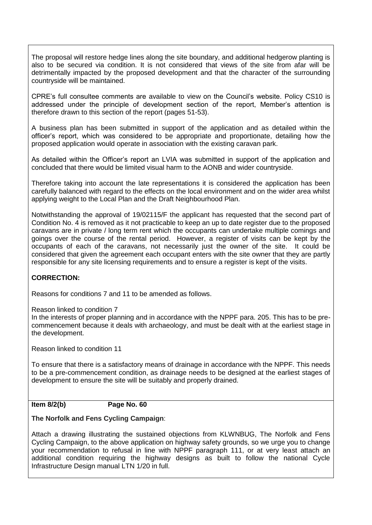The proposal will restore hedge lines along the site boundary, and additional hedgerow planting is also to be secured via condition. It is not considered that views of the site from afar will be detrimentally impacted by the proposed development and that the character of the surrounding countryside will be maintained.

CPRE's full consultee comments are available to view on the Council's website. Policy CS10 is addressed under the principle of development section of the report, Member's attention is therefore drawn to this section of the report (pages 51-53).

A business plan has been submitted in support of the application and as detailed within the officer's report, which was considered to be appropriate and proportionate, detailing how the proposed application would operate in association with the existing caravan park.

As detailed within the Officer's report an LVIA was submitted in support of the application and concluded that there would be limited visual harm to the AONB and wider countryside.

Therefore taking into account the late representations it is considered the application has been carefully balanced with regard to the effects on the local environment and on the wider area whilst applying weight to the Local Plan and the Draft Neighbourhood Plan.

Notwithstanding the approval of 19/02115/F the applicant has requested that the second part of Condition No. 4 is removed as it not practicable to keep an up to date register due to the proposed caravans are in private / long term rent which the occupants can undertake multiple comings and goings over the course of the rental period. However, a register of visits can be kept by the occupants of each of the caravans, not necessarily just the owner of the site. It could be considered that given the agreement each occupant enters with the site owner that they are partly responsible for any site licensing requirements and to ensure a register is kept of the visits.

## **CORRECTION:**

Reasons for conditions 7 and 11 to be amended as follows.

Reason linked to condition 7

In the interests of proper planning and in accordance with the NPPF para. 205. This has to be precommencement because it deals with archaeology, and must be dealt with at the earliest stage in the development.

Reason linked to condition 11

To ensure that there is a satisfactory means of drainage in accordance with the NPPF. This needs to be a pre-commencement condition, as drainage needs to be designed at the earliest stages of development to ensure the site will be suitably and properly drained.

## **Item 8/2(b) Page No. 60**

## **The Norfolk and Fens Cycling Campaign**:

Attach a drawing illustrating the sustained objections from KLWNBUG, The Norfolk and Fens Cycling Campaign, to the above application on highway safety grounds, so we urge you to change your recommendation to refusal in line with NPPF paragraph 111, or at very least attach an additional condition requiring the highway designs as built to follow the national Cycle Infrastructure Design manual LTN 1/20 in full.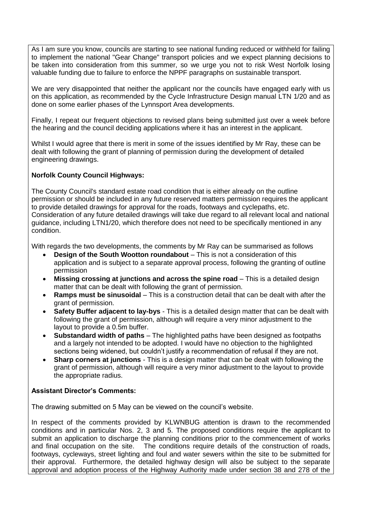As I am sure you know, councils are starting to see national funding reduced or withheld for failing to implement the national "Gear Change" transport policies and we expect planning decisions to be taken into consideration from this summer, so we urge you not to risk West Norfolk losing valuable funding due to failure to enforce the NPPF paragraphs on sustainable transport.

We are very disappointed that neither the applicant nor the councils have engaged early with us on this application, as recommended by the Cycle Infrastructure Design manual LTN 1/20 and as done on some earlier phases of the Lynnsport Area developments.

Finally, I repeat our frequent objections to revised plans being submitted just over a week before the hearing and the council deciding applications where it has an interest in the applicant.

Whilst I would agree that there is merit in some of the issues identified by Mr Ray, these can be dealt with following the grant of planning of permission during the development of detailed engineering drawings.

## **Norfolk County Council Highways:**

The County Council's standard estate road condition that is either already on the outline permission or should be included in any future reserved matters permission requires the applicant to provide detailed drawings for approval for the roads, footways and cyclepaths, etc. Consideration of any future detailed drawings will take due regard to all relevant local and national guidance, including LTN1/20, which therefore does not need to be specifically mentioned in any condition.

With regards the two developments, the comments by Mr Ray can be summarised as follows

- **Design of the South Wootton roundabout** This is not a consideration of this application and is subject to a separate approval process, following the granting of outline permission
- **Missing crossing at junctions and across the spine road** This is a detailed design matter that can be dealt with following the grant of permission.
- **Ramps must be sinusoidal** This is a construction detail that can be dealt with after the grant of permission.
- **Safety Buffer adjacent to lay-bys** This is a detailed design matter that can be dealt with following the grant of permission, although will require a very minor adjustment to the layout to provide a 0.5m buffer.
- **Substandard width of paths** The highlighted paths have been designed as footpaths and a largely not intended to be adopted. I would have no objection to the highlighted sections being widened, but couldn't justify a recommendation of refusal if they are not.
- **Sharp corners at junctions** This is a design matter that can be dealt with following the grant of permission, although will require a very minor adjustment to the layout to provide the appropriate radius.

## **Assistant Director's Comments:**

The drawing submitted on 5 May can be viewed on the council's website.

In respect of the comments provided by KLWNBUG attention is drawn to the recommended conditions and in particular Nos. 2, 3 and 5. The proposed conditions require the applicant to submit an application to discharge the planning conditions prior to the commencement of works and final occupation on the site. The conditions require details of the construction of roads, footways, cycleways, street lighting and foul and water sewers within the site to be submitted for their approval. Furthermore, the detailed highway design will also be subject to the separate approval and adoption process of the Highway Authority made under section 38 and 278 of the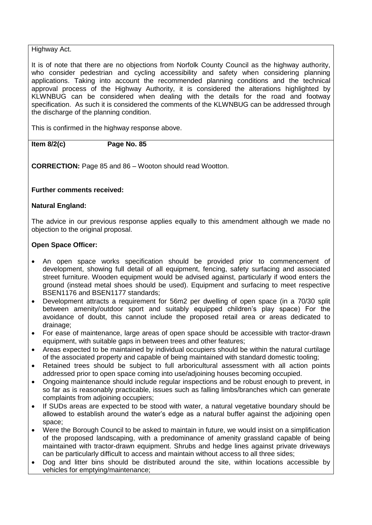## Highway Act.

It is of note that there are no objections from Norfolk County Council as the highway authority, who consider pedestrian and cycling accessibility and safety when considering planning applications. Taking into account the recommended planning conditions and the technical approval process of the Highway Authority, it is considered the alterations highlighted by KLWNBUG can be considered when dealing with the details for the road and footway specification. As such it is considered the comments of the KLWNBUG can be addressed through the discharge of the planning condition.

This is confirmed in the highway response above.

**Item 8/2(c) Page No. 85**

**CORRECTION:** Page 85 and 86 – Wooton should read Wootton.

## **Further comments received:**

## **Natural England:**

The advice in our previous response applies equally to this amendment although we made no objection to the original proposal.

## **Open Space Officer:**

- An open space works specification should be provided prior to commencement of development, showing full detail of all equipment, fencing, safety surfacing and associated street furniture. Wooden equipment would be advised against, particularly if wood enters the ground (instead metal shoes should be used). Equipment and surfacing to meet respective BSEN1176 and BSEN1177 standards;
- Development attracts a requirement for 56m2 per dwelling of open space (in a 70/30 split between amenity/outdoor sport and suitably equipped children's play space) For the avoidance of doubt, this cannot include the proposed retail area or areas dedicated to drainage;
- For ease of maintenance, large areas of open space should be accessible with tractor-drawn equipment, with suitable gaps in between trees and other features;
- Areas expected to be maintained by individual occupiers should be within the natural curtilage of the associated property and capable of being maintained with standard domestic tooling;
- Retained trees should be subject to full arboricultural assessment with all action points addressed prior to open space coming into use/adjoining houses becoming occupied.
- Ongoing maintenance should include regular inspections and be robust enough to prevent, in so far as is reasonably practicable, issues such as falling limbs/branches which can generate complaints from adjoining occupiers;
- If SUDs areas are expected to be stood with water, a natural vegetative boundary should be allowed to establish around the water's edge as a natural buffer against the adjoining open space;
- Were the Borough Council to be asked to maintain in future, we would insist on a simplification of the proposed landscaping, with a predominance of amenity grassland capable of being maintained with tractor-drawn equipment. Shrubs and hedge lines against private driveways can be particularly difficult to access and maintain without access to all three sides;
- Dog and litter bins should be distributed around the site, within locations accessible by vehicles for emptying/maintenance;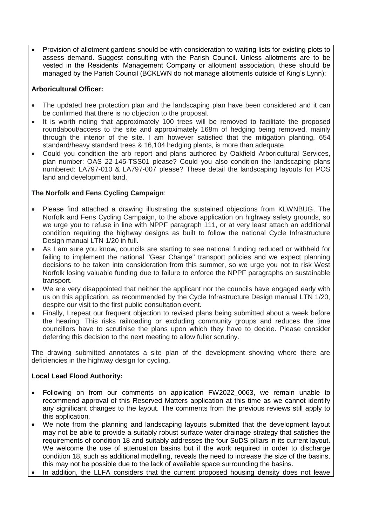Provision of allotment gardens should be with consideration to waiting lists for existing plots to assess demand. Suggest consulting with the Parish Council. Unless allotments are to be vested in the Residents' Management Company or allotment association, these should be managed by the Parish Council (BCKLWN do not manage allotments outside of King's Lynn);

# **Arboricultural Officer:**

- The updated tree protection plan and the landscaping plan have been considered and it can be confirmed that there is no objection to the proposal.
- It is worth noting that approximately 100 trees will be removed to facilitate the proposed roundabout/access to the site and approximately 168m of hedging being removed, mainly through the interior of the site. I am however satisfied that the mitigation planting, 654 standard/heavy standard trees & 16,104 hedging plants, is more than adequate.
- Could you condition the arb report and plans authored by Oakfield Arboricultural Services, plan number: OAS 22-145-TSS01 please? Could you also condition the landscaping plans numbered: LA797-010 & LA797-007 please? These detail the landscaping layouts for POS land and development land.

# **The Norfolk and Fens Cycling Campaign**:

- Please find attached a drawing illustrating the sustained objections from KLWNBUG, The Norfolk and Fens Cycling Campaign, to the above application on highway safety grounds, so we urge you to refuse in line with NPPF paragraph 111, or at very least attach an additional condition requiring the highway designs as built to follow the national Cycle Infrastructure Design manual LTN 1/20 in full.
- As I am sure you know, councils are starting to see national funding reduced or withheld for failing to implement the national "Gear Change" transport policies and we expect planning decisions to be taken into consideration from this summer, so we urge you not to risk West Norfolk losing valuable funding due to failure to enforce the NPPF paragraphs on sustainable transport.
- We are very disappointed that neither the applicant nor the councils have engaged early with us on this application, as recommended by the Cycle Infrastructure Design manual LTN 1/20, despite our visit to the first public consultation event.
- Finally, I repeat our frequent objection to revised plans being submitted about a week before the hearing. This risks railroading or excluding community groups and reduces the time councillors have to scrutinise the plans upon which they have to decide. Please consider deferring this decision to the next meeting to allow fuller scrutiny.

The drawing submitted annotates a site plan of the development showing where there are deficiencies in the highway design for cycling.

# **Local Lead Flood Authority:**

- Following on from our comments on application FW2022 0063, we remain unable to recommend approval of this Reserved Matters application at this time as we cannot identify any significant changes to the layout. The comments from the previous reviews still apply to this application.
- We note from the planning and landscaping layouts submitted that the development layout may not be able to provide a suitably robust surface water drainage strategy that satisfies the requirements of condition 18 and suitably addresses the four SuDS pillars in its current layout. We welcome the use of attenuation basins but if the work required in order to discharge condition 18, such as additional modelling, reveals the need to increase the size of the basins, this may not be possible due to the lack of available space surrounding the basins.
- In addition, the LLFA considers that the current proposed housing density does not leave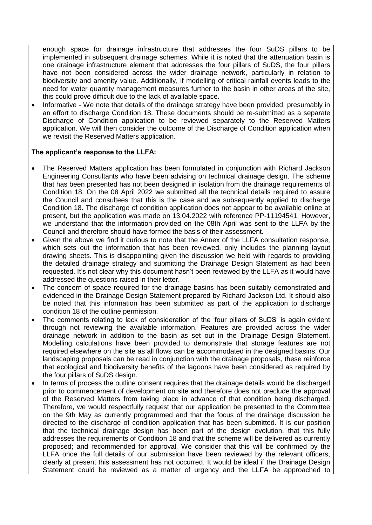enough space for drainage infrastructure that addresses the four SuDS pillars to be implemented in subsequent drainage schemes. While it is noted that the attenuation basin is one drainage infrastructure element that addresses the four pillars of SuDS, the four pillars have not been considered across the wider drainage network, particularly in relation to biodiversity and amenity value. Additionally, if modelling of critical rainfall events leads to the need for water quantity management measures further to the basin in other areas of the site, this could prove difficult due to the lack of available space.

 Informative - We note that details of the drainage strategy have been provided, presumably in an effort to discharge Condition 18. These documents should be re-submitted as a separate Discharge of Condition application to be reviewed separately to the Reserved Matters application. We will then consider the outcome of the Discharge of Condition application when we revisit the Reserved Matters application.

## **The applicant's response to the LLFA:**

- The Reserved Matters application has been formulated in conjunction with Richard Jackson Engineering Consultants who have been advising on technical drainage design. The scheme that has been presented has not been designed in isolation from the drainage requirements of Condition 18. On the 08 April 2022 we submitted all the technical details required to assure the Council and consultees that this is the case and we subsequently applied to discharge Condition 18. The discharge of condition application does not appear to be available online at present, but the application was made on 13.04.2022 with reference PP-11194541. However, we understand that the information provided on the 08th April was sent to the LLFA by the Council and therefore should have formed the basis of their assessment.
- Given the above we find it curious to note that the Annex of the LLFA consultation response, which sets out the information that has been reviewed, only includes the planning layout drawing sheets. This is disappointing given the discussion we held with regards to providing the detailed drainage strategy and submitting the Drainage Design Statement as had been requested. It's not clear why this document hasn't been reviewed by the LLFA as it would have addressed the questions raised in their letter.
- The concern of space required for the drainage basins has been suitably demonstrated and evidenced in the Drainage Design Statement prepared by Richard Jackson Ltd. It should also be noted that this information has been submitted as part of the application to discharge condition 18 of the outline permission.
- The comments relating to lack of consideration of the 'four pillars of SuDS' is again evident through not reviewing the available information. Features are provided across the wider drainage network in addition to the basin as set out in the Drainage Design Statement. Modelling calculations have been provided to demonstrate that storage features are not required elsewhere on the site as all flows can be accommodated in the designed basins. Our landscaping proposals can be read in conjunction with the drainage proposals, these reinforce that ecological and biodiversity benefits of the lagoons have been considered as required by the four pillars of SuDS design.
- In terms of process the outline consent requires that the drainage details would be discharged prior to commencement of development on site and therefore does not preclude the approval of the Reserved Matters from taking place in advance of that condition being discharged. Therefore, we would respectfully request that our application be presented to the Committee on the 9th May as currently programmed and that the focus of the drainage discussion be directed to the discharge of condition application that has been submitted. It is our position that the technical drainage design has been part of the design evolution, that this fully addresses the requirements of Condition 18 and that the scheme will be delivered as currently proposed; and recommended for approval. We consider that this will be confirmed by the LLFA once the full details of our submission have been reviewed by the relevant officers, clearly at present this assessment has not occurred. It would be ideal if the Drainage Design Statement could be reviewed as a matter of urgency and the LLFA be approached to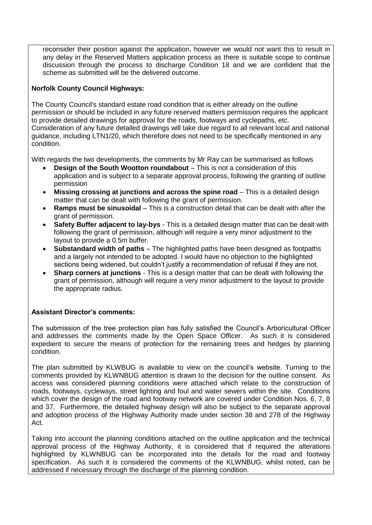reconsider their position against the application, however we would not want this to result in any delay in the Reserved Matters application process as there is suitable scope to continue discussion through the process to discharge Condition 18 and we are confident that the scheme as submitted will be the delivered outcome.

# **Norfolk County Council Highways:**

The County Council's standard estate road condition that is either already on the outline permission or should be included in any future reserved matters permission requires the applicant to provide detailed drawings for approval for the roads, footways and cyclepaths, etc. Consideration of any future detailed drawings will take due regard to all relevant local and national guidance, including LTN1/20, which therefore does not need to be specifically mentioned in any condition.

With regards the two developments, the comments by Mr Ray can be summarised as follows

- **Design of the South Wootton roundabout** This is not a consideration of this application and is subject to a separate approval process, following the granting of outline permission
- **Missing crossing at junctions and across the spine road** This is a detailed design matter that can be dealt with following the grant of permission.
- **Ramps must be sinusoidal** This is a construction detail that can be dealt with after the grant of permission.
- **Safety Buffer adjacent to lay-bys** This is a detailed design matter that can be dealt with following the grant of permission, although will require a very minor adjustment to the layout to provide a 0.5m buffer.
- **Substandard width of paths** The highlighted paths have been designed as footpaths and a largely not intended to be adopted. I would have no objection to the highlighted sections being widened, but couldn't justify a recommendation of refusal if they are not.
- **Sharp corners at junctions** This is a design matter that can be dealt with following the grant of permission, although will require a very minor adjustment to the layout to provide the appropriate radius.

# **Assistant Director's comments:**

The submission of the tree protection plan has fully satisfied the Council's Arboricultural Officer and addresses the comments made by the Open Space Officer. As such it is considered expedient to secure the means of protection for the remaining trees and hedges by planning condition.

The plan submitted by KLWBUG is available to view on the council's website. Turning to the comments provided by KLWNBUG attention is drawn to the decision for the outline consent. As access was considered planning conditions were attached which relate to the construction of roads, footways, cycleways, street lighting and foul and water sewers within the site. Conditions which cover the design of the road and footway network are covered under Condition Nos. 6, 7, 8 and 37. Furthermore, the detailed highway design will also be subject to the separate approval and adoption process of the Highway Authority made under section 38 and 278 of the Highway Act.

Taking into account the planning conditions attached on the outline application and the technical approval process of the Highway Authority, it is considered that if required the alterations highlighted by KLWNBUG can be incorporated into the details for the road and footway specification. As such it is considered the comments of the KLWNBUG, whilst noted, can be addressed if necessary through the discharge of the planning condition.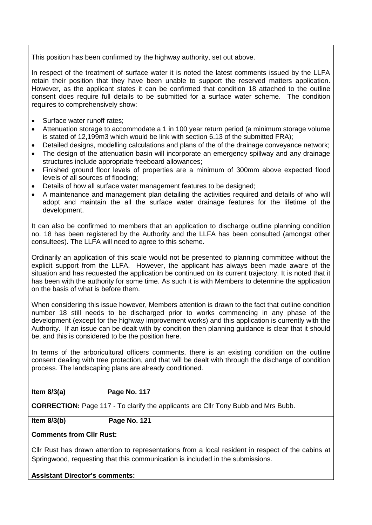This position has been confirmed by the highway authority, set out above.

In respect of the treatment of surface water it is noted the latest comments issued by the LLFA retain their position that they have been unable to support the reserved matters application. However, as the applicant states it can be confirmed that condition 18 attached to the outline consent does require full details to be submitted for a surface water scheme. The condition requires to comprehensively show:

- Surface water runoff rates;
- Attenuation storage to accommodate a 1 in 100 year return period (a minimum storage volume is stated of 12,199m3 which would be link with section 6.13 of the submitted FRA);
- Detailed designs, modelling calculations and plans of the of the drainage conveyance network;
- The design of the attenuation basin will incorporate an emergency spillway and any drainage structures include appropriate freeboard allowances;
- Finished ground floor levels of properties are a minimum of 300mm above expected flood levels of all sources of flooding;
- Details of how all surface water management features to be designed;
- A maintenance and management plan detailing the activities required and details of who will adopt and maintain the all the surface water drainage features for the lifetime of the development.

It can also be confirmed to members that an application to discharge outline planning condition no. 18 has been registered by the Authority and the LLFA has been consulted (amongst other consultees). The LLFA will need to agree to this scheme.

Ordinarily an application of this scale would not be presented to planning committee without the explicit support from the LLFA. However, the applicant has always been made aware of the situation and has requested the application be continued on its current trajectory. It is noted that it has been with the authority for some time. As such it is with Members to determine the application on the basis of what is before them.

When considering this issue however, Members attention is drawn to the fact that outline condition number 18 still needs to be discharged prior to works commencing in any phase of the development (except for the highway improvement works) and this application is currently with the Authority. If an issue can be dealt with by condition then planning guidance is clear that it should be, and this is considered to be the position here.

In terms of the arboricultural officers comments, there is an existing condition on the outline consent dealing with tree protection, and that will be dealt with through the discharge of condition process. The landscaping plans are already conditioned.

## **Item 8/3(a) Page No. 117**

**CORRECTION:** Page 117 - To clarify the applicants are Cllr Tony Bubb and Mrs Bubb.

**Item 8/3(b) Page No. 121**

## **Comments from Cllr Rust:**

Cllr Rust has drawn attention to representations from a local resident in respect of the cabins at Springwood, requesting that this communication is included in the submissions.

**Assistant Director's comments:**